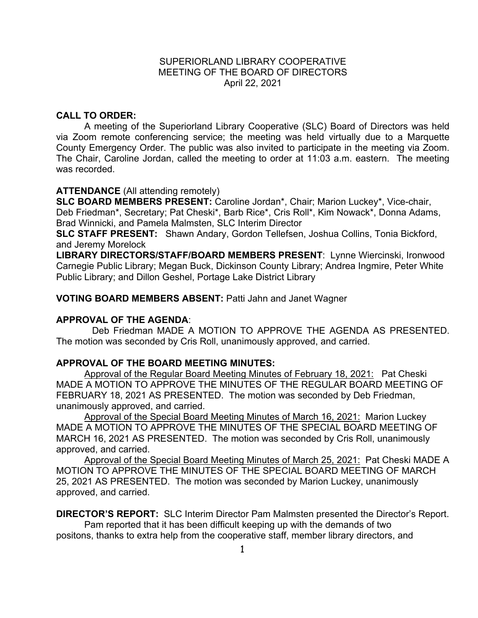# SUPERIORLAND LIBRARY COOPERATIVE MEETING OF THE BOARD OF DIRECTORS April 22, 2021

# **CALL TO ORDER:**

A meeting of the Superiorland Library Cooperative (SLC) Board of Directors was held via Zoom remote conferencing service; the meeting was held virtually due to a Marquette County Emergency Order. The public was also invited to participate in the meeting via Zoom. The Chair, Caroline Jordan, called the meeting to order at 11:03 a.m. eastern. The meeting was recorded.

# **ATTENDANCE** (All attending remotely)

**SLC BOARD MEMBERS PRESENT:** Caroline Jordan\*, Chair; Marion Luckey\*, Vice-chair, Deb Friedman\*, Secretary; Pat Cheski\*, Barb Rice\*, Cris Roll\*, Kim Nowack\*, Donna Adams, Brad Winnicki, and Pamela Malmsten, SLC Interim Director

**SLC STAFF PRESENT:** Shawn Andary, Gordon Tellefsen, Joshua Collins, Tonia Bickford, and Jeremy Morelock

**LIBRARY DIRECTORS/STAFF/BOARD MEMBERS PRESENT**: Lynne Wiercinski, Ironwood Carnegie Public Library; Megan Buck, Dickinson County Library; Andrea Ingmire, Peter White Public Library; and Dillon Geshel, Portage Lake District Library

# **VOTING BOARD MEMBERS ABSENT:** Patti Jahn and Janet Wagner

### **APPROVAL OF THE AGENDA**:

Deb Friedman MADE A MOTION TO APPROVE THE AGENDA AS PRESENTED. The motion was seconded by Cris Roll, unanimously approved, and carried.

### **APPROVAL OF THE BOARD MEETING MINUTES:**

Approval of the Regular Board Meeting Minutes of February 18, 2021: Pat Cheski MADE A MOTION TO APPROVE THE MINUTES OF THE REGULAR BOARD MEETING OF FEBRUARY 18, 2021 AS PRESENTED. The motion was seconded by Deb Friedman, unanimously approved, and carried.

Approval of the Special Board Meeting Minutes of March 16, 2021: Marion Luckey MADE A MOTION TO APPROVE THE MINUTES OF THE SPECIAL BOARD MEETING OF MARCH 16, 2021 AS PRESENTED. The motion was seconded by Cris Roll, unanimously approved, and carried.

Approval of the Special Board Meeting Minutes of March 25, 2021: Pat Cheski MADE A MOTION TO APPROVE THE MINUTES OF THE SPECIAL BOARD MEETING OF MARCH 25, 2021 AS PRESENTED. The motion was seconded by Marion Luckey, unanimously approved, and carried.

**DIRECTOR'S REPORT:** SLC Interim Director Pam Malmsten presented the Director's Report. Pam reported that it has been difficult keeping up with the demands of two positons, thanks to extra help from the cooperative staff, member library directors, and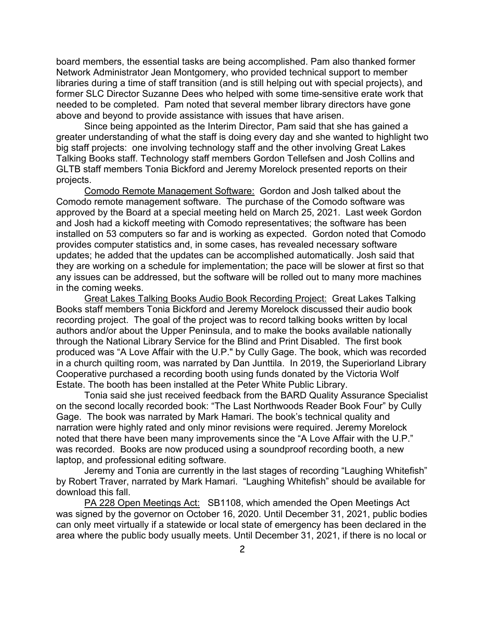board members, the essential tasks are being accomplished. Pam also thanked former Network Administrator Jean Montgomery, who provided technical support to member libraries during a time of staff transition (and is still helping out with special projects), and former SLC Director Suzanne Dees who helped with some time-sensitive erate work that needed to be completed. Pam noted that several member library directors have gone above and beyond to provide assistance with issues that have arisen.

Since being appointed as the Interim Director, Pam said that she has gained a greater understanding of what the staff is doing every day and she wanted to highlight two big staff projects: one involving technology staff and the other involving Great Lakes Talking Books staff. Technology staff members Gordon Tellefsen and Josh Collins and GLTB staff members Tonia Bickford and Jeremy Morelock presented reports on their projects.

Comodo Remote Management Software: Gordon and Josh talked about the Comodo remote management software. The purchase of the Comodo software was approved by the Board at a special meeting held on March 25, 2021. Last week Gordon and Josh had a kickoff meeting with Comodo representatives; the software has been installed on 53 computers so far and is working as expected. Gordon noted that Comodo provides computer statistics and, in some cases, has revealed necessary software updates; he added that the updates can be accomplished automatically. Josh said that they are working on a schedule for implementation; the pace will be slower at first so that any issues can be addressed, but the software will be rolled out to many more machines in the coming weeks.

Great Lakes Talking Books Audio Book Recording Project: Great Lakes Talking Books staff members Tonia Bickford and Jeremy Morelock discussed their audio book recording project. The goal of the project was to record talking books written by local authors and/or about the Upper Peninsula, and to make the books available nationally through the National Library Service for the Blind and Print Disabled. The first book produced was "A Love Affair with the U.P." by Cully Gage. The book, which was recorded in a church quilting room, was narrated by Dan Junttila. In 2019, the Superiorland Library Cooperative purchased a recording booth using funds donated by the Victoria Wolf Estate. The booth has been installed at the Peter White Public Library.

Tonia said she just received feedback from the BARD Quality Assurance Specialist on the second locally recorded book: "The Last Northwoods Reader Book Four" by Cully Gage. The book was narrated by Mark Hamari. The book's technical quality and narration were highly rated and only minor revisions were required. Jeremy Morelock noted that there have been many improvements since the "A Love Affair with the U.P." was recorded. Books are now produced using a soundproof recording booth, a new laptop, and professional editing software.

Jeremy and Tonia are currently in the last stages of recording "Laughing Whitefish" by Robert Traver, narrated by Mark Hamari. "Laughing Whitefish" should be available for download this fall.

PA 228 Open Meetings Act: SB1108, which amended the Open Meetings Act was signed by the governor on October 16, 2020. Until December 31, 2021, public bodies can only meet virtually if a statewide or local state of emergency has been declared in the area where the public body usually meets. Until December 31, 2021, if there is no local or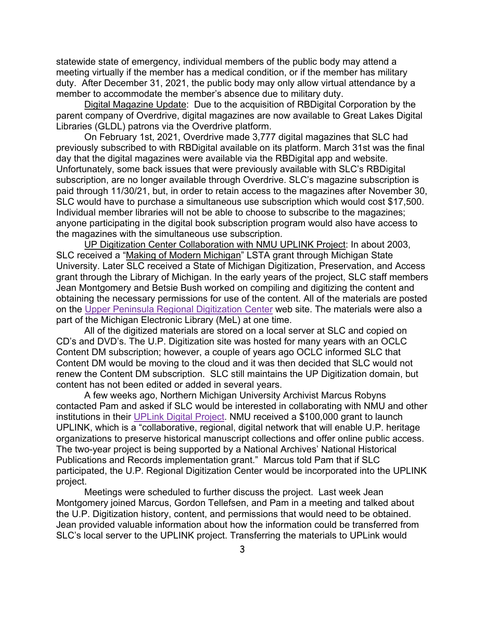statewide state of emergency, individual members of the public body may attend a meeting virtually if the member has a medical condition, or if the member has military duty. After December 31, 2021, the public body may only allow virtual attendance by a member to accommodate the member's absence due to military duty.

Digital Magazine Update: Due to the acquisition of RBDigital Corporation by the parent company of Overdrive, digital magazines are now available to Great Lakes Digital Libraries (GLDL) patrons via the Overdrive platform.

On February 1st, 2021, Overdrive made 3,777 digital magazines that SLC had previously subscribed to with RBDigital available on its platform. March 31st was the final day that the digital magazines were available via the RBDigital app and website. Unfortunately, some back issues that were previously available with SLC's RBDigital subscription, are no longer available through Overdrive. SLC's magazine subscription is paid through 11/30/21, but, in order to retain access to the magazines after November 30, SLC would have to purchase a simultaneous use subscription which would cost \$17,500. Individual member libraries will not be able to choose to subscribe to the magazines; anyone participating in the digital book subscription program would also have access to the magazines with the simultaneous use subscription.

UP Digitization Center Collaboration with NMU UPLINK Project: In about 2003, SLC received a ["Making of Modern Michigan"](https://mmm.lib.msu.edu/MMM_narrative.pdf) LSTA grant through Michigan State University. Later SLC received a State of Michigan Digitization, Preservation, and Access grant through the Library of Michigan. In the early years of the project, SLC staff members Jean Montgomery and Betsie Bush worked on compiling and digitizing the content and obtaining the necessary permissions for use of the content. All of the materials are posted on the [Upper Peninsula Regional Digitization Center](http://updigit.uproc.lib.mi.us/) web site. The materials were also a part of the Michigan Electronic Library (MeL) at one time.

All of the digitized materials are stored on a local server at SLC and copied on CD's and DVD's. The U.P. Digitization site was hosted for many years with an OCLC Content DM subscription; however, a couple of years ago OCLC informed SLC that Content DM would be moving to the cloud and it was then decided that SLC would not renew the Content DM subscription. SLC still maintains the UP Digitization domain, but content has not been edited or added in several years.

A few weeks ago, Northern Michigan University Archivist Marcus Robyns contacted Pam and asked if SLC would be interested in collaborating with NMU and other institutions in their [UPLink Digital Project.](https://www.nmu.edu/archives/uplink) NMU received a \$100,000 grant to launch UPLINK, which is a "collaborative, regional, digital network that will enable U.P. heritage organizations to preserve historical manuscript collections and offer online public access. The two-year project is being supported by a National Archives' National Historical Publications and Records implementation grant." Marcus told Pam that if SLC participated, the U.P. Regional Digitization Center would be incorporated into the UPLINK project.

Meetings were scheduled to further discuss the project. Last week Jean Montgomery joined Marcus, Gordon Tellefsen, and Pam in a meeting and talked about the U.P. Digitization history, content, and permissions that would need to be obtained. Jean provided valuable information about how the information could be transferred from SLC's local server to the UPLINK project. Transferring the materials to UPLink would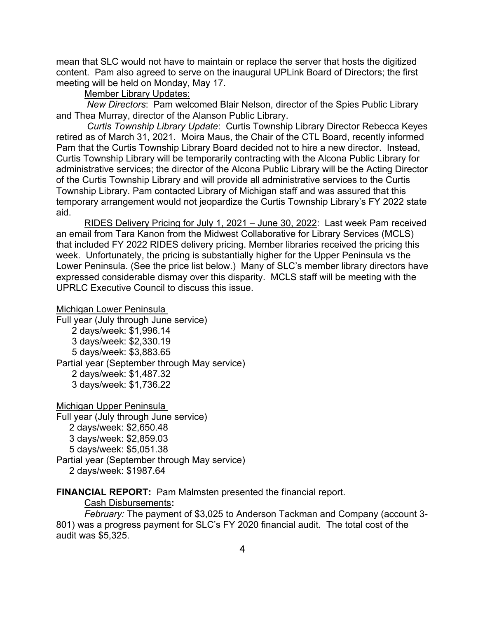mean that SLC would not have to maintain or replace the server that hosts the digitized content. Pam also agreed to serve on the inaugural UPLink Board of Directors; the first meeting will be held on Monday, May 17.

#### Member Library Updates:

*New Directors*: Pam welcomed Blair Nelson, director of the Spies Public Library and Thea Murray, director of the Alanson Public Library.

*Curtis Township Library Update*: Curtis Township Library Director Rebecca Keyes retired as of March 31, 2021. Moira Maus, the Chair of the CTL Board, recently informed Pam that the Curtis Township Library Board decided not to hire a new director. Instead, Curtis Township Library will be temporarily contracting with the Alcona Public Library for administrative services; the director of the Alcona Public Library will be the Acting Director of the Curtis Township Library and will provide all administrative services to the Curtis Township Library. Pam contacted Library of Michigan staff and was assured that this temporary arrangement would not jeopardize the Curtis Township Library's FY 2022 state aid.

RIDES Delivery Pricing for July 1, 2021 – June 30, 2022: Last week Pam received an email from Tara Kanon from the Midwest Collaborative for Library Services (MCLS) that included FY 2022 RIDES delivery pricing. Member libraries received the pricing this week. Unfortunately, the pricing is substantially higher for the Upper Peninsula vs the Lower Peninsula. (See the price list below.) Many of SLC's member library directors have expressed considerable dismay over this disparity. MCLS staff will be meeting with the UPRLC Executive Council to discuss this issue.

Michigan Lower Peninsula

Full year (July through June service)

2 days/week: \$1,996.14

3 days/week: \$2,330.19

5 days/week: \$3,883.65

Partial year (September through May service)

2 days/week: \$1,487.32

3 days/week: \$1,736.22

Michigan Upper Peninsula Full year (July through June service) 2 days/week: \$2,650.48 3 days/week: \$2,859.03 5 days/week: \$5,051.38 Partial year (September through May service) 2 days/week: \$1987.64

**FINANCIAL REPORT:** Pam Malmsten presented the financial report.

Cash Disbursements**:** 

*February:* The payment of \$3,025 to Anderson Tackman and Company (account 3- 801) was a progress payment for SLC's FY 2020 financial audit. The total cost of the audit was \$5,325.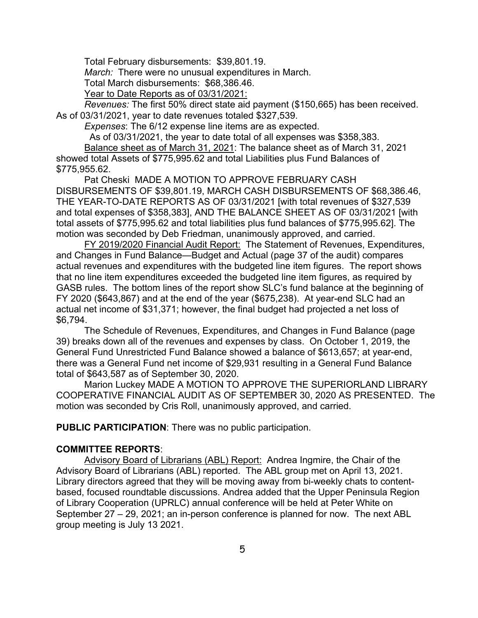Total February disbursements: \$39,801.19.

*March:* There were no unusual expenditures in March.

Total March disbursements: \$68,386.46.

Year to Date Reports as of 03/31/2021:

*Revenues:* The first 50% direct state aid payment (\$150,665) has been received. As of 03/31/2021, year to date revenues totaled \$327,539.

*Expenses*: The 6/12 expense line items are as expected.

As of 03/31/2021, the year to date total of all expenses was \$358,383.

Balance sheet as of March 31, 2021: The balance sheet as of March 31, 2021 showed total Assets of \$775,995.62 and total Liabilities plus Fund Balances of \$775,955.62.

 Pat Cheski MADE A MOTION TO APPROVE FEBRUARY CASH DISBURSEMENTS OF \$39,801.19, MARCH CASH DISBURSEMENTS OF \$68,386.46, THE YEAR-TO-DATE REPORTS AS OF 03/31/2021 [with total revenues of \$327,539 and total expenses of \$358,383], AND THE BALANCE SHEET AS OF 03/31/2021 [with total assets of \$775,995.62 and total liabilities plus fund balances of \$775,995.62]. The motion was seconded by Deb Friedman, unanimously approved, and carried.

FY 2019/2020 Financial Audit Report: The Statement of Revenues, Expenditures, and Changes in Fund Balance—Budget and Actual (page 37 of the audit) compares actual revenues and expenditures with the budgeted line item figures. The report shows that no line item expenditures exceeded the budgeted line item figures, as required by GASB rules. The bottom lines of the report show SLC's fund balance at the beginning of FY 2020 (\$643,867) and at the end of the year (\$675,238). At year-end SLC had an actual net income of \$31,371; however, the final budget had projected a net loss of \$6,794.

The Schedule of Revenues, Expenditures, and Changes in Fund Balance (page 39) breaks down all of the revenues and expenses by class. On October 1, 2019, the General Fund Unrestricted Fund Balance showed a balance of \$613,657; at year-end, there was a General Fund net income of \$29,931 resulting in a General Fund Balance total of \$643,587 as of September 30, 2020.

Marion Luckey MADE A MOTION TO APPROVE THE SUPERIORLAND LIBRARY COOPERATIVE FINANCIAL AUDIT AS OF SEPTEMBER 30, 2020 AS PRESENTED. The motion was seconded by Cris Roll, unanimously approved, and carried.

**PUBLIC PARTICIPATION**: There was no public participation.

### **COMMITTEE REPORTS**:

Advisory Board of Librarians (ABL) Report: Andrea Ingmire, the Chair of the Advisory Board of Librarians (ABL) reported. The ABL group met on April 13, 2021. Library directors agreed that they will be moving away from bi-weekly chats to contentbased, focused roundtable discussions. Andrea added that the Upper Peninsula Region of Library Cooperation (UPRLC) annual conference will be held at Peter White on September 27 – 29, 2021; an in-person conference is planned for now. The next ABL group meeting is July 13 2021.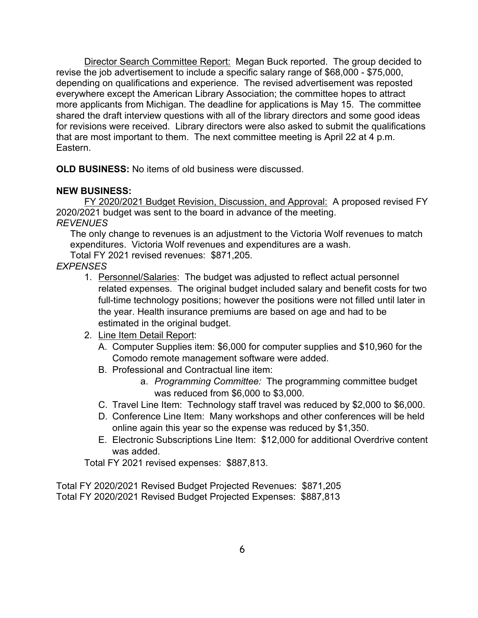Director Search Committee Report: Megan Buck reported. The group decided to revise the job advertisement to include a specific salary range of \$68,000 - \$75,000, depending on qualifications and experience. The revised advertisement was reposted everywhere except the American Library Association; the committee hopes to attract more applicants from Michigan. The deadline for applications is May 15. The committee shared the draft interview questions with all of the library directors and some good ideas for revisions were received. Library directors were also asked to submit the qualifications that are most important to them. The next committee meeting is April 22 at 4 p.m. Eastern.

**OLD BUSINESS:** No items of old business were discussed.

# **NEW BUSINESS:**

FY 2020/2021 Budget Revision, Discussion, and Approval: A proposed revised FY 2020/2021 budget was sent to the board in advance of the meeting. *REVENUES*

The only change to revenues is an adjustment to the Victoria Wolf revenues to match expenditures. Victoria Wolf revenues and expenditures are a wash.

Total FY 2021 revised revenues: \$871,205.

*EXPENSES* 

- 1. Personnel/Salaries: The budget was adjusted to reflect actual personnel related expenses. The original budget included salary and benefit costs for two full-time technology positions; however the positions were not filled until later in the year. Health insurance premiums are based on age and had to be estimated in the original budget.
- 2. Line Item Detail Report:
	- A. Computer Supplies item: \$6,000 for computer supplies and \$10,960 for the Comodo remote management software were added.
	- B. Professional and Contractual line item:
		- a. *Programming Committee:* The programming committee budget was reduced from \$6,000 to \$3,000.
	- C. Travel Line Item: Technology staff travel was reduced by \$2,000 to \$6,000.
	- D. Conference Line Item: Many workshops and other conferences will be held online again this year so the expense was reduced by \$1,350.
	- E. Electronic Subscriptions Line Item: \$12,000 for additional Overdrive content was added.

Total FY 2021 revised expenses: \$887,813.

Total FY 2020/2021 Revised Budget Projected Revenues: \$871,205 Total FY 2020/2021 Revised Budget Projected Expenses: \$887,813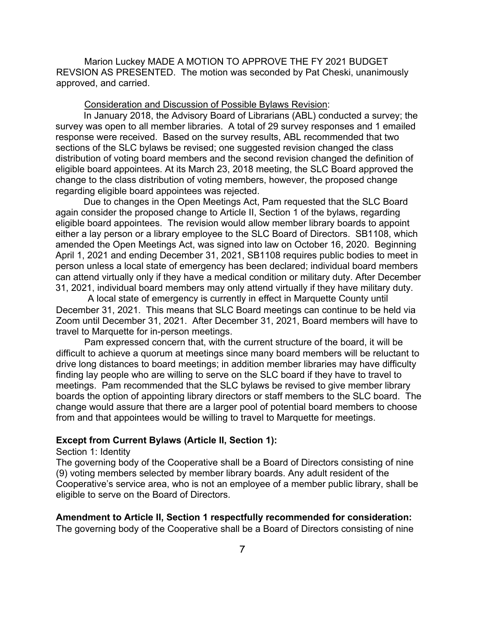Marion Luckey MADE A MOTION TO APPROVE THE FY 2021 BUDGET REVSION AS PRESENTED. The motion was seconded by Pat Cheski, unanimously approved, and carried.

#### Consideration and Discussion of Possible Bylaws Revision:

In January 2018, the Advisory Board of Librarians (ABL) conducted a survey; the survey was open to all member libraries. A total of 29 survey responses and 1 emailed response were received. Based on the survey results, ABL recommended that two sections of the SLC bylaws be revised; one suggested revision changed the class distribution of voting board members and the second revision changed the definition of eligible board appointees. At its March 23, 2018 meeting, the SLC Board approved the change to the class distribution of voting members, however, the proposed change regarding eligible board appointees was rejected.

Due to changes in the Open Meetings Act, Pam requested that the SLC Board again consider the proposed change to Article II, Section 1 of the bylaws, regarding eligible board appointees. The revision would allow member library boards to appoint either a lay person or a library employee to the SLC Board of Directors. SB1108, which amended the Open Meetings Act, was signed into law on October 16, 2020. Beginning April 1, 2021 and ending December 31, 2021, SB1108 requires public bodies to meet in person unless a local state of emergency has been declared; individual board members can attend virtually only if they have a medical condition or military duty. After December 31, 2021, individual board members may only attend virtually if they have military duty.

A local state of emergency is currently in effect in Marquette County until December 31, 2021. This means that SLC Board meetings can continue to be held via Zoom until December 31, 2021. After December 31, 2021, Board members will have to travel to Marquette for in-person meetings.

Pam expressed concern that, with the current structure of the board, it will be difficult to achieve a quorum at meetings since many board members will be reluctant to drive long distances to board meetings; in addition member libraries may have difficulty finding lay people who are willing to serve on the SLC board if they have to travel to meetings. Pam recommended that the SLC bylaws be revised to give member library boards the option of appointing library directors or staff members to the SLC board. The change would assure that there are a larger pool of potential board members to choose from and that appointees would be willing to travel to Marquette for meetings.

# **Except from Current Bylaws (Article II, Section 1):**

#### Section 1: Identity

The governing body of the Cooperative shall be a Board of Directors consisting of nine (9) voting members selected by member library boards. Any adult resident of the Cooperative's service area, who is not an employee of a member public library, shall be eligible to serve on the Board of Directors.

#### **Amendment to Article II, Section 1 respectfully recommended for consideration:**  The governing body of the Cooperative shall be a Board of Directors consisting of nine